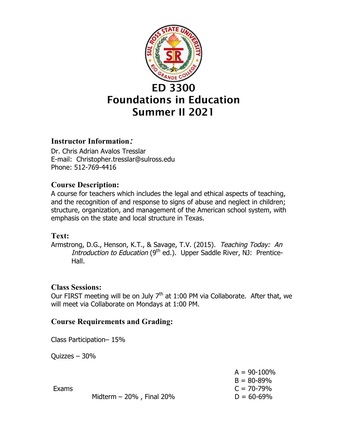

## **Instructor Information***:*

Dr. Chris Adrian Avalos Tresslar E-mail: Christopher.tresslar@sulross.edu Phone: 512-769-4416

## **Course Description:**

A course for teachers which includes the legal and ethical aspects of teaching, and the recognition of and response to signs of abuse and neglect in children; structure, organization, and management of the American school system, with emphasis on the state and local structure in Texas.

## **Text:**

Armstrong, D.G., Henson, K.T., & Savage, T.V. (2015). Teaching Today: An Introduction to Education  $(9<sup>th</sup>$  ed.). Upper Saddle River, NJ: Prentice-Hall.

## **Class Sessions:**

Our FIRST meeting will be on July  $7<sup>th</sup>$  at 1:00 PM via Collaborate. After that, we will meet via Collaborate on Mondays at 1:00 PM.

## **Course Requirements and Grading:**

Class Participation– 15%

Quizzes – 30%

|       |                             | $A = 90 - 100\%$ |
|-------|-----------------------------|------------------|
|       |                             | $B = 80 - 89%$   |
| Exams |                             | $C = 70 - 79\%$  |
|       | Midterm $-20\%$ , Final 20% | $D = 60 - 69%$   |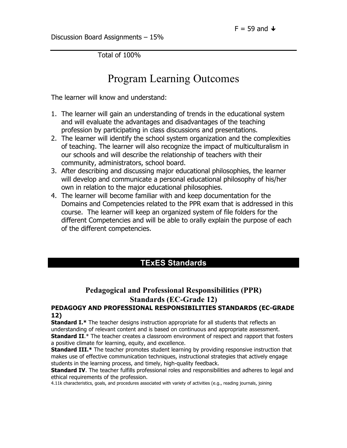Discussion Board Assignments – 15%

Total of 100%

# Program Learning Outcomes

The learner will know and understand:

- 1. The learner will gain an understanding of trends in the educational system and will evaluate the advantages and disadvantages of the teaching profession by participating in class discussions and presentations.
- 2. The learner will identify the school system organization and the complexities of teaching. The learner will also recognize the impact of multiculturalism in our schools and will describe the relationship of teachers with their community, administrators, school board.
- 3. After describing and discussing major educational philosophies, the learner will develop and communicate a personal educational philosophy of his/her own in relation to the major educational philosophies.
- 4. The learner will become familiar with and keep documentation for the Domains and Competencies related to the PPR exam that is addressed in this course. The learner will keep an organized system of file folders for the different Competencies and will be able to orally explain the purpose of each of the different competencies.

## **TExES Standards**

## **Pedagogical and Professional Responsibilities (PPR) Standards (EC-Grade 12)**

#### **PEDAGOGY AND PROFESSIONAL RESPONSIBILITIES STANDARDS (EC-GRADE 12)**

**Standard I.\*** The teacher designs instruction appropriate for all students that reflects an understanding of relevant content and is based on continuous and appropriate assessment. **Standard II.**\* The teacher creates a classroom environment of respect and rapport that fosters a positive climate for learning, equity, and excellence.

**Standard III.\*** The teacher promotes student learning by providing responsive instruction that makes use of effective communication techniques, instructional strategies that actively engage students in the learning process, and timely, high-quality feedback.

**Standard IV**. The teacher fulfills professional roles and responsibilities and adheres to legal and ethical requirements of the profession.

4.11k characteristics, goals, and procedures associated with variety of activities (e.g., reading journals, joining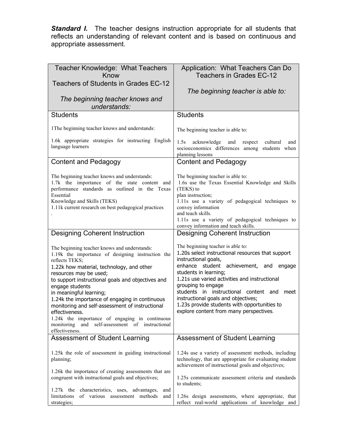**Standard I.** The teacher designs instruction appropriate for all students that reflects an understanding of relevant content and is based on continuous and appropriate assessment.

| Teacher Knowledge: What Teachers<br>Know                                                                                                                                                                                                                                                                                                                                                                                                                                                                                                          | Application: What Teachers Can Do<br>Teachers in Grades EC-12                                                                                                                                                                                                                                                                                                                                                                                      |
|---------------------------------------------------------------------------------------------------------------------------------------------------------------------------------------------------------------------------------------------------------------------------------------------------------------------------------------------------------------------------------------------------------------------------------------------------------------------------------------------------------------------------------------------------|----------------------------------------------------------------------------------------------------------------------------------------------------------------------------------------------------------------------------------------------------------------------------------------------------------------------------------------------------------------------------------------------------------------------------------------------------|
| Teachers of Students in Grades EC-12                                                                                                                                                                                                                                                                                                                                                                                                                                                                                                              | The beginning teacher is able to:                                                                                                                                                                                                                                                                                                                                                                                                                  |
| The beginning teacher knows and<br>understands:                                                                                                                                                                                                                                                                                                                                                                                                                                                                                                   |                                                                                                                                                                                                                                                                                                                                                                                                                                                    |
| <b>Students</b>                                                                                                                                                                                                                                                                                                                                                                                                                                                                                                                                   | <b>Students</b>                                                                                                                                                                                                                                                                                                                                                                                                                                    |
| 1 The beginning teacher knows and understands:                                                                                                                                                                                                                                                                                                                                                                                                                                                                                                    | The beginning teacher is able to:                                                                                                                                                                                                                                                                                                                                                                                                                  |
| 1.6k appropriate strategies for instructing English<br>language learners                                                                                                                                                                                                                                                                                                                                                                                                                                                                          | 1.5s<br>acknowledge<br>and<br>respect<br>cultural<br>and<br>socioeconomics differences among students when<br>planning lessons                                                                                                                                                                                                                                                                                                                     |
| <b>Content and Pedagogy</b>                                                                                                                                                                                                                                                                                                                                                                                                                                                                                                                       | Content and Pedagogy                                                                                                                                                                                                                                                                                                                                                                                                                               |
| The beginning teacher knows and understands:<br>1.7k the importance of the state content and<br>performance standards as outlined in the Texas<br>Essential<br>Knowledge and Skills (TEKS)<br>1.11k current research on best pedagogical practices                                                                                                                                                                                                                                                                                                | The beginning teacher is able to:<br>1.6s use the Texas Essential Knowledge and Skills<br>(TEKS) to<br>plan instruction;<br>1.11s use a variety of pedagogical techniques to<br>convey information<br>and teach skills.<br>1.11s use a variety of pedagogical techniques to<br>convey information and teach skills.                                                                                                                                |
| <b>Designing Coherent Instruction</b>                                                                                                                                                                                                                                                                                                                                                                                                                                                                                                             | <b>Designing Coherent Instruction</b>                                                                                                                                                                                                                                                                                                                                                                                                              |
| The beginning teacher knows and understands:<br>1.19k the importance of designing instruction the<br>reflects TEKS;<br>1.22k how material, technology, and other<br>resources may be used;<br>to support instructional goals and objectives and<br>engage students<br>in meaningful learning;<br>1.24k the importance of engaging in continuous<br>monitoring and self-assessment of instructional<br>effectiveness.<br>1.24k the importance of engaging in continuous<br>and<br>self-assessment of instructional<br>monitoring<br>effectiveness. | The beginning teacher is able to:<br>1.20s select instructional resources that support<br>instructional goals,<br>enhance student achievement,<br>and<br>engage<br>students in learning;<br>1.21s use varied activities and instructional<br>grouping to engage<br>students in instructional content and<br>meet<br>instructional goals and objectives;<br>1.23s provide students with opportunities to<br>explore content from many perspectives. |
| Assessment of Student Learning                                                                                                                                                                                                                                                                                                                                                                                                                                                                                                                    | Assessment of Student Learning                                                                                                                                                                                                                                                                                                                                                                                                                     |
| 1.25k the role of assessment in guiding instructional<br>planning;<br>1.26k the importance of creating assessments that are<br>congruent with instructional goals and objectives;<br>1.27k the characteristics, uses, advantages,<br>and                                                                                                                                                                                                                                                                                                          | 1.24s use a variety of assessment methods, including<br>technology, that are appropriate for evaluating student<br>achievement of instructional goals and objectives;<br>1.25s communicate assessment criteria and standards<br>to students;                                                                                                                                                                                                       |
| limitations<br>of various assessment methods<br>and<br>strategies;                                                                                                                                                                                                                                                                                                                                                                                                                                                                                | 1.26s design assessments, where appropriate, that<br>reflect real-world applications of knowledge and                                                                                                                                                                                                                                                                                                                                              |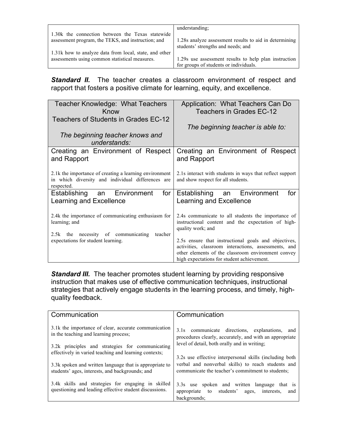|                                                                                                        | understanding:                                                                               |
|--------------------------------------------------------------------------------------------------------|----------------------------------------------------------------------------------------------|
| 1.30 kthe connection between the Texas statewide<br>assessment program, the TEKS, and instruction; and | 1.28s analyze assessment results to aid in determining<br>students' strengths and needs; and |
| 1.31k how to analyze data from local, state, and other                                                 |                                                                                              |
| assessments using common statistical measures.                                                         | 1.29s use assessment results to help plan instruction                                        |
|                                                                                                        | for groups of students or individuals.                                                       |

**Standard II.** The teacher creates a classroom environment of respect and rapport that fosters a positive climate for learning, equity, and excellence.

| Teacher Knowledge: What Teachers<br>Know<br>Teachers of Students in Grades EC-12                                          | Application: What Teachers Can Do<br>Teachers in Grades EC-12                                                                                                                                                    |
|---------------------------------------------------------------------------------------------------------------------------|------------------------------------------------------------------------------------------------------------------------------------------------------------------------------------------------------------------|
|                                                                                                                           | The beginning teacher is able to:                                                                                                                                                                                |
| The beginning teacher knows and<br>understands:                                                                           |                                                                                                                                                                                                                  |
| Creating an Environment of Respect<br>and Rapport                                                                         | Creating an Environment of Respect<br>and Rapport                                                                                                                                                                |
| 2.1k the importance of creating a learning environment<br>in which diversity and individual differences are<br>respected. | 2.1s interact with students in ways that reflect support<br>and show respect for all students.                                                                                                                   |
| Establishing an Environment<br>for<br>Learning and Excellence                                                             | for<br>Establishing an Environment<br>Learning and Excellence                                                                                                                                                    |
| 2.4k the importance of communicating enthusiasm for<br>learning; and                                                      | 2.4s communicate to all students the importance of<br>instructional content and the expectation of high-<br>quality work; and                                                                                    |
| 2.5k the necessity of communicating<br>teacher<br>expectations for student learning.                                      | 2.5s ensure that instructional goals and objectives,<br>activities, classroom interactions, assessments, and<br>other elements of the classroom environment convey<br>high expectations for student achievement. |

**Standard III.** The teacher promotes student learning by providing responsive instruction that makes use of effective communication techniques, instructional strategies that actively engage students in the learning process, and timely, highquality feedback.

| Communication                                                                                                                                     | Communication                                                                                                                                                |
|---------------------------------------------------------------------------------------------------------------------------------------------------|--------------------------------------------------------------------------------------------------------------------------------------------------------------|
| 3.1k the importance of clear, accurate communication<br>in the teaching and learning process;<br>3.2k principles and strategies for communicating | 3.1s communicate directions, explanations,<br>and<br>procedures clearly, accurately, and with an appropriate<br>level of detail, both orally and in writing; |
| effectively in varied teaching and learning contexts;                                                                                             | 3.2s use effective interpersonal skills (including both                                                                                                      |
| 3.3k spoken and written language that is appropriate to<br>students' ages, interests, and backgrounds; and                                        | verbal and nonverbal skills) to reach students and<br>communicate the teacher's commitment to students:                                                      |
| 3.4k skills and strategies for engaging in skilled<br>questioning and leading effective student discussions.                                      | 3.3s use spoken and written language that is<br>appropriate to students'<br>interests.<br>ages,<br>and<br>backgrounds:                                       |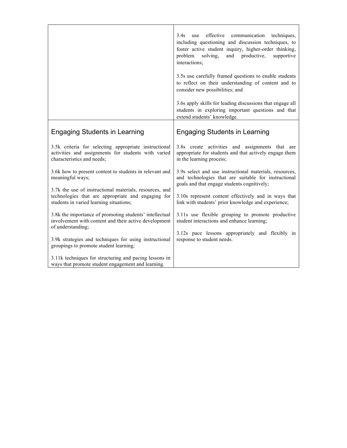|                                                                                                                                                          | 3.4s<br>use effective communication techniques,<br>including questioning and discussion techniques, to<br>foster active student inquiry, higher-order thinking,<br>solving,<br>and productive,<br>problem<br>supportive<br>interactions; |
|----------------------------------------------------------------------------------------------------------------------------------------------------------|------------------------------------------------------------------------------------------------------------------------------------------------------------------------------------------------------------------------------------------|
|                                                                                                                                                          | 3.5s use carefully framed questions to enable students<br>to reflect on their understanding of content and to<br>consider new possibilities; and                                                                                         |
|                                                                                                                                                          | 3.6s apply skills for leading discussions that engage all<br>students in exploring important questions and that<br>extend students' knowledge.                                                                                           |
| <b>Engaging Students in Learning</b>                                                                                                                     | <b>Engaging Students in Learning</b>                                                                                                                                                                                                     |
| 3.5k criteria for selecting appropriate instructional<br>activities and assignments for students with varied<br>characteristics and needs;               | 3.8s create activities and assignments that are<br>appropriate for students and that actively engage them<br>in the learning process;                                                                                                    |
| 3.6k how to present content to students in relevant and<br>meaningful ways;                                                                              | 3.9s select and use instructional materials, resources,<br>and technologies that are suitable for instructional<br>goals and that engage students cognitively;                                                                           |
| 3.7k the use of instructional materials, resources, and<br>technologies that are appropriate and engaging for<br>students in varied learning situations; | 3.10s represent content effectively and in ways that<br>link with students' prior knowledge and experience;                                                                                                                              |
| 3.8k the importance of promoting students' intellectual<br>involvement with content and their active development<br>of understanding;                    | 3.11s use flexible grouping to promote productive<br>student interactions and enhance learning;                                                                                                                                          |
| 3.9k strategies and techniques for using instructional<br>groupings to promote student learning;                                                         | 3.12s pace lessons appropriately and flexibly in<br>response to student needs.                                                                                                                                                           |
| 3.11k techniques for structuring and pacing lessons in<br>ways that promote student engagement and learning.                                             |                                                                                                                                                                                                                                          |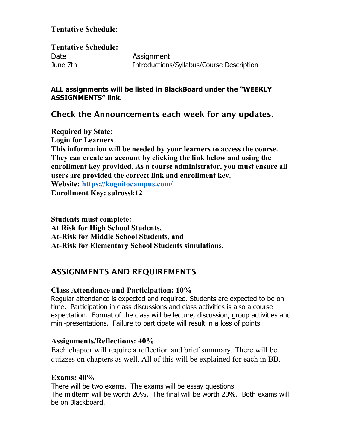## **Tentative Schedule**:

**Tentative Schedule:** Date **Assignment** June 7th Introductions/Syllabus/Course Description

#### **ALL assignments will be listed in BlackBoard under the "WEEKLY ASSIGNMENTS" link.**

## Check the Announcements each week for any updates.

**Required by State: Login for Learners This information will be needed by your learners to access the course. They can create an account by clicking the link below and using the enrollment key provided. As a course administrator, you must ensure all users are provided the correct link and enrollment key. Website: https://kognitocampus.com/ Enrollment Key: sulrossk12**

**Students must complete: At Risk for High School Students, At-Risk for Middle School Students, and At-Risk for Elementary School Students simulations.**

## ASSIGNMENTS AND REQUIREMENTS

#### **Class Attendance and Participation: 10%**

Regular attendance is expected and required. Students are expected to be on time. Participation in class discussions and class activities is also a course expectation. Format of the class will be lecture, discussion, group activities and mini-presentations. Failure to participate will result in a loss of points.

#### **Assignments/Reflections: 40%**

Each chapter will require a reflection and brief summary. There will be quizzes on chapters as well. All of this will be explained for each in BB.

### **Exams: 40%**

There will be two exams. The exams will be essay questions. The midterm will be worth 20%. The final will be worth 20%. Both exams will be on Blackboard.